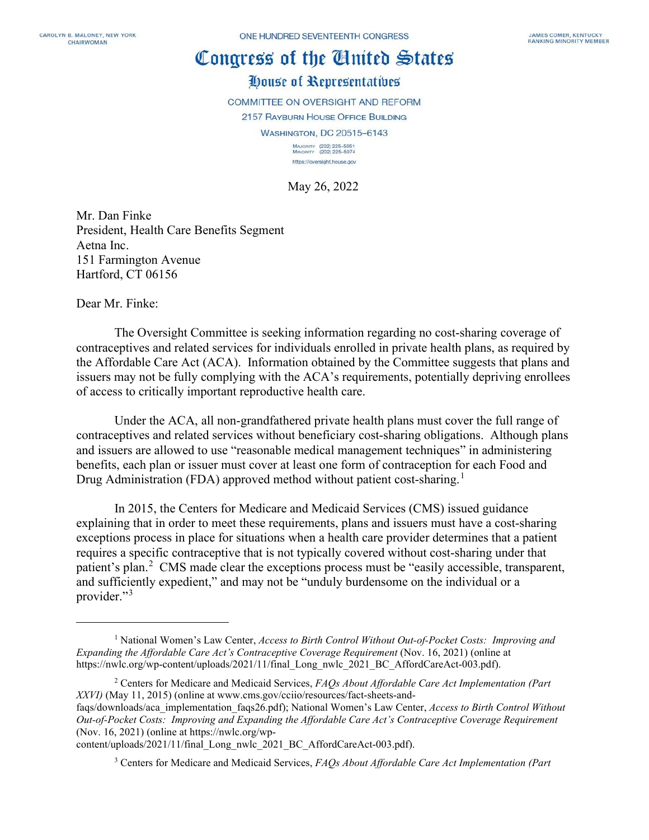## Congress of the Cinited States

## House of Representatives

COMMITTEE ON OVERSIGHT AND REFORM

2157 RAYBURN HOUSE OFFICE BUILDING

WASHINGTON, DC 20515-6143

MAJORITY (202) 225-5051<br>MINORITY (202) 225-5074 https://oversight.house.gov

May 26, 2022

Mr. Dan Finke President, Health Care Benefits Segment Aetna Inc. 151 Farmington Avenue Hartford, CT 06156

Dear Mr. Finke:

The Oversight Committee is seeking information regarding no cost-sharing coverage of contraceptives and related services for individuals enrolled in private health plans, as required by the Affordable Care Act (ACA). Information obtained by the Committee suggests that plans and issuers may not be fully complying with the ACA's requirements, potentially depriving enrollees of access to critically important reproductive health care.

Under the ACA, all non-grandfathered private health plans must cover the full range of contraceptives and related services without beneficiary cost-sharing obligations. Although plans and issuers are allowed to use "reasonable medical management techniques" in administering benefits, each plan or issuer must cover at least one form of contraception for each Food and Drug Administration (FDA) approved method without patient cost-sharing.<sup>[1](#page-0-0)</sup>

In 2015, the Centers for Medicare and Medicaid Services (CMS) issued guidance explaining that in order to meet these requirements, plans and issuers must have a cost-sharing exceptions process in place for situations when a health care provider determines that a patient requires a specific contraceptive that is not typically covered without cost-sharing under that patient's plan.<sup>[2](#page-0-1)</sup> CMS made clear the exceptions process must be "easily accessible, transparent, and sufficiently expedient," and may not be "unduly burdensome on the individual or a provider."<sup>[3](#page-0-2)</sup>

<span id="page-0-0"></span><sup>1</sup> National Women's Law Center, *Access to Birth Control Without Out-of-Pocket Costs: Improving and Expanding the Affordable Care Act's Contraceptive Coverage Requirement* (Nov. 16, 2021) (online at https://nwlc.org/wp-content/uploads/2021/11/final\_Long\_nwlc\_2021\_BC\_AffordCareAct-003.pdf).

<span id="page-0-1"></span><sup>2</sup> Centers for Medicare and Medicaid Services, *FAQs About Affordable Care Act Implementation (Part XXVI)* (May 11, 2015) (online at www.cms.gov/cciio/resources/fact-sheets-and-

faqs/downloads/aca\_implementation\_faqs26.pdf); National Women's Law Center, *Access to Birth Control Without Out-of-Pocket Costs: Improving and Expanding the Affordable Care Act's Contraceptive Coverage Requirement* (Nov. 16, 2021) (online at https://nwlc.org/wp-

<span id="page-0-2"></span>content/uploads/2021/11/final\_Long\_nwlc\_2021\_BC\_AffordCareAct-003.pdf).

<sup>3</sup> Centers for Medicare and Medicaid Services, *FAQs About Affordable Care Act Implementation (Part*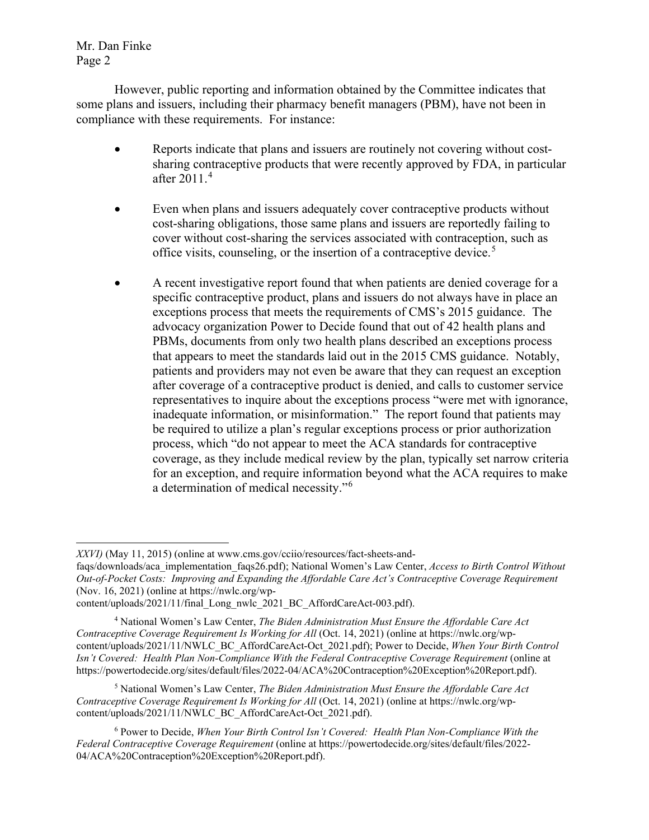Mr. Dan Finke Page 2

However, public reporting and information obtained by the Committee indicates that some plans and issuers, including their pharmacy benefit managers (PBM), have not been in compliance with these requirements. For instance:

- Reports indicate that plans and issuers are routinely not covering without costsharing contraceptive products that were recently approved by FDA, in particular after 2011.[4](#page-1-0)
- Even when plans and issuers adequately cover contraceptive products without cost-sharing obligations, those same plans and issuers are reportedly failing to cover without cost-sharing the services associated with contraception, such as office visits, counseling, or the insertion of a contraceptive device.<sup>[5](#page-1-1)</sup>
- A recent investigative report found that when patients are denied coverage for a specific contraceptive product, plans and issuers do not always have in place an exceptions process that meets the requirements of CMS's 2015 guidance. The advocacy organization Power to Decide found that out of 42 health plans and PBMs, documents from only two health plans described an exceptions process that appears to meet the standards laid out in the 2015 CMS guidance. Notably, patients and providers may not even be aware that they can request an exception after coverage of a contraceptive product is denied, and calls to customer service representatives to inquire about the exceptions process "were met with ignorance, inadequate information, or misinformation." The report found that patients may be required to utilize a plan's regular exceptions process or prior authorization process, which "do not appear to meet the ACA standards for contraceptive coverage, as they include medical review by the plan, typically set narrow criteria for an exception, and require information beyond what the ACA requires to make a determination of medical necessity."[6](#page-1-2)

*XXVI)* (May 11, 2015) (online at www.cms.gov/cciio/resources/fact-sheets-and-

faqs/downloads/aca\_implementation\_faqs26.pdf); National Women's Law Center, *Access to Birth Control Without Out-of-Pocket Costs: Improving and Expanding the Affordable Care Act's Contraceptive Coverage Requirement* (Nov. 16, 2021) (online at https://nwlc.org/wp-

content/uploads/2021/11/final\_Long\_nwlc\_2021\_BC\_AffordCareAct-003.pdf).

<span id="page-1-0"></span><sup>4</sup> National Women's Law Center, *The Biden Administration Must Ensure the Affordable Care Act Contraceptive Coverage Requirement Is Working for All* (Oct. 14, 2021) (online at https://nwlc.org/wpcontent/uploads/2021/11/NWLC\_BC\_AffordCareAct-Oct\_2021.pdf); Power to Decide, *When Your Birth Control Isn't Covered: Health Plan Non-Compliance With the Federal Contraceptive Coverage Requirement* (online at https://powertodecide.org/sites/default/files/2022-04/ACA%20Contraception%20Exception%20Report.pdf).

<span id="page-1-1"></span><sup>5</sup> National Women's Law Center, *The Biden Administration Must Ensure the Affordable Care Act Contraceptive Coverage Requirement Is Working for All* (Oct. 14, 2021) (online at https://nwlc.org/wpcontent/uploads/2021/11/NWLC\_BC\_AffordCareAct-Oct\_2021.pdf).

<span id="page-1-2"></span><sup>6</sup> Power to Decide, *When Your Birth Control Isn't Covered: Health Plan Non-Compliance With the Federal Contraceptive Coverage Requirement* (online at https://powertodecide.org/sites/default/files/2022- 04/ACA%20Contraception%20Exception%20Report.pdf).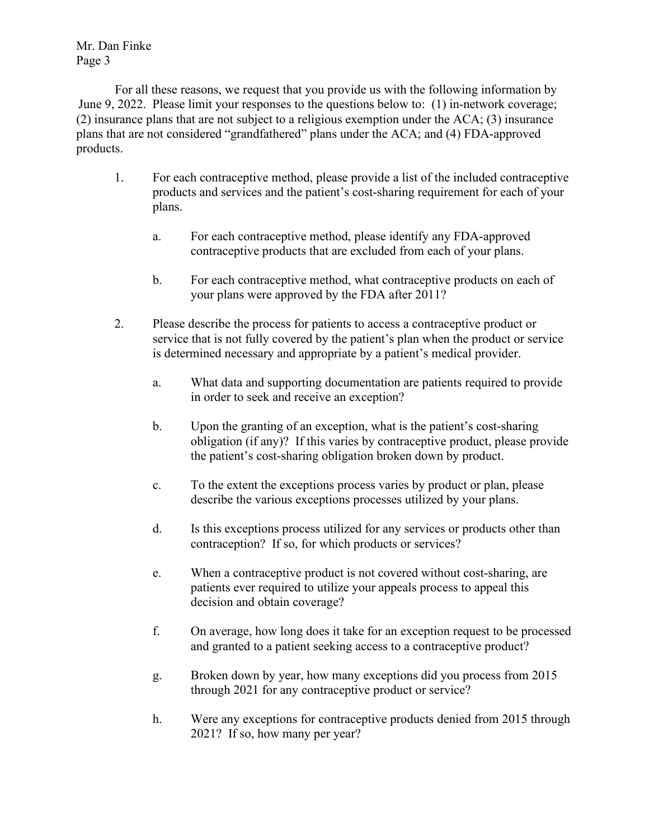Mr. Dan Finke Page 3

For all these reasons, we request that you provide us with the following information by June 9, 2022. Please limit your responses to the questions below to: (1) in-network coverage; (2) insurance plans that are not subject to a religious exemption under the ACA; (3) insurance plans that are not considered "grandfathered" plans under the ACA; and (4) FDA-approved products.

- 1. For each contraceptive method, please provide a list of the included contraceptive products and services and the patient's cost-sharing requirement for each of your plans.
	- a. For each contraceptive method, please identify any FDA-approved contraceptive products that are excluded from each of your plans.
	- b. For each contraceptive method, what contraceptive products on each of your plans were approved by the FDA after 2011?
- 2. Please describe the process for patients to access a contraceptive product or service that is not fully covered by the patient's plan when the product or service is determined necessary and appropriate by a patient's medical provider.
	- a. What data and supporting documentation are patients required to provide in order to seek and receive an exception?
	- b. Upon the granting of an exception, what is the patient's cost-sharing obligation (if any)? If this varies by contraceptive product, please provide the patient's cost-sharing obligation broken down by product.
	- c. To the extent the exceptions process varies by product or plan, please describe the various exceptions processes utilized by your plans.
	- d. Is this exceptions process utilized for any services or products other than contraception? If so, for which products or services?
	- e. When a contraceptive product is not covered without cost-sharing, are patients ever required to utilize your appeals process to appeal this decision and obtain coverage?
	- f. On average, how long does it take for an exception request to be processed and granted to a patient seeking access to a contraceptive product?
	- g. Broken down by year, how many exceptions did you process from 2015 through 2021 for any contraceptive product or service?
	- h. Were any exceptions for contraceptive products denied from 2015 through 2021? If so, how many per year?